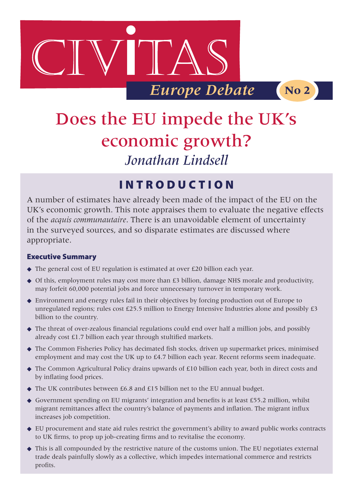

# Does the EU impede the UK's economic growth? *Jonathan Lindsell*

# Introduct i o n

A number of estimates have already been made of the impact of the EU on the UK's economic growth. This note appraises them to evaluate the negative effects of the *acquis communautaire*. There is an unavoidable element of uncertainty in the surveyed sources, and so disparate estimates are discussed where appropriate.

#### Executive Summary

- ◆ The general cost of EU regulation is estimated at over £20 billion each year.
- $\blacklozenge$  Of this, employment rules may cost more than £3 billion, damage NHS morale and productivity, may forfeit 60,000 potential jobs and force unnecessary turnover in temporary work.
- Environment and energy rules fail in their objectives by forcing production out of Europe to unregulated regions; rules cost £25.5 million to Energy Intensive Industries alone and possibly £3 billion to the country.
- The threat of over-zealous financial regulations could end over half a million jobs, and possibly already cost £1.7 billion each year through stultified markets.
- The Common Fisheries Policy has decimated fish stocks, driven up supermarket prices, minimised employment and may cost the UK up to £4.7 billion each year. Recent reforms seem inadequate.
- ◆ The Common Agricultural Policy drains upwards of £10 billion each year, both in direct costs and by inflating food prices.
- ◆ The UK contributes between £6.8 and £15 billion net to the EU annual budget.
- Government spending on EU migrants' integration and benefits is at least £55.2 million, whilst migrant remittances affect the country's balance of payments and inflation. The migrant influx increases job competition.
- EU procurement and state aid rules restrict the government's ability to award public works contracts to UK firms, to prop up job-creating firms and to revitalise the economy.
- This is all compounded by the restrictive nature of the customs union. The EU negotiates external trade deals painfully slowly as a collective, which impedes international commerce and restricts profits.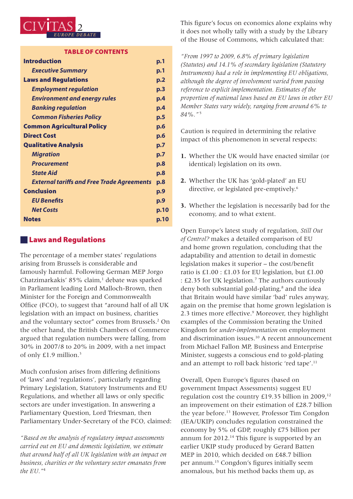

#### Table of Contents

| <b>Introduction</b>                               | p.1  |
|---------------------------------------------------|------|
| <b>Executive Summary</b>                          | p.1  |
| <b>Laws and Regulations</b>                       | p.2  |
| <b>Employment regulation</b>                      | p.3  |
| <b>Environment and energy rules</b>               | p.4  |
| <b>Banking regulation</b>                         | p.4  |
| <b>Common Fisheries Policy</b>                    | p.5  |
| <b>Common Agricultural Policy</b>                 | p.6  |
| <b>Direct Cost</b>                                | p.6  |
| <b>Qualitative Analysis</b>                       | p.7  |
| <b>Migration</b>                                  | p.7  |
| <b>Procurement</b>                                | p.8  |
| <b>State Aid</b>                                  | p.8  |
| <b>External tariffs and Free Trade Agreements</b> | p.8  |
| <b>Conclusion</b>                                 | p.9  |
| <b>EU Benefits</b>                                | p.9  |
| <b>Net Costs</b>                                  | p.10 |
| <b>Notes</b>                                      | p.10 |
|                                                   |      |

#### **Laws and Regulations**

The percentage of a member states' regulations arising from Brussels is considerable and famously harmful. Following German MEP Jorgo Chatzimarkakis' 85% claim,<sup>1</sup> debate was sparked in Parliament leading Lord Malloch-Brown, then Minister for the Foreign and Commonwealth Office (FCO), to suggest that "around half of all UK legislation with an impact on business, charities and the voluntary sector" comes from Brussels.<sup>2</sup> On the other hand, the British Chambers of Commerce argued that regulation numbers were falling, from 30% in 2007/8 to 20% in 2009, with a net impact of only £1.9 million.3

Much confusion arises from differing definitions of 'laws' and 'regulations', particularly regarding Primary Legislation, Statutory Instruments and EU Regulations, and whether all laws or only specific sectors are under investigation. In answering a Parliamentary Question, Lord Triesman, then Parliamentary Under-Secretary of the FCO, claimed:

*"Based on the analysis of regulatory impact assessments carried out on EU and domestic legislation, we estimate that around half of all UK legislation with an impact on business, charities or the voluntary sector emanates from the EU."*<sup>4</sup>

This figure's focus on economics alone explains why it does not wholly tally with a study by the Library of the House of Commons, which calculated that:

*"From 1997 to 2009, 6.8% of primary legislation (Statutes) and 14.1% of secondary legislation (Statutory Instruments) had a role in implementing EU obligations, although the degree of involvement varied from passing reference to explicit implementation. Estimates of the proportion of national laws based on EU laws in other EU Member States vary widely, ranging from around 6% to 84%."* <sup>5</sup>

Caution is required in determining the relative impact of this phenomenon in several respects:

- **1.** Whether the UK would have enacted similar (or identical) legislation on its own.
- **2.** Whether the UK has 'gold-plated' an EU directive, or legislated pre-emptively.<sup>6</sup>
- **3.** Whether the legislation is necessarily bad for the economy, and to what extent.

Open Europe's latest study of regulation, *Still Out of Control?* makes a detailed comparison of EU and home grown regulation, concluding that the adaptability and attention to detail in domestic legislation makes it superior – the cost/benefit ratio is £1.00 : £1.03 for EU legislation, but £1.00 : £2.35 for UK legislation.<sup>7</sup> The authors cautiously deny both substantial gold-plating,<sup>8</sup> and the idea that Britain would have similar 'bad' rules anyway, again on the premise that home grown legislation is 2.3 times more effective.9 Moreover, they highlight examples of the Commission berating the United Kingdom for *under-implementation* on employment and discrimination issues.10 A recent announcement from Michael Fallon MP, Business and Enterprise Minister, suggests a conscious end to gold-plating and an attempt to roll back historic 'red tape'.<sup>11</sup>

Overall, Open Europe's figures (based on government Impact Assessments) suggest EU regulation cost the country £19.35 billion in 2009,<sup>12</sup> an improvement on their estimation of £28.7 billion the year before.13 However, Professor Tim Congdon (IEA/UKIP) concludes regulation constrained the economy by 5% of GDP, roughly £75 billion per annum for 2012.<sup>14</sup> This figure is supported by an earlier UKIP study produced by Gerard Batten MEP in 2010, which decided on £48.7 billion per annum.15 Congdon's figures initially seem anomalous, but his method backs them up, as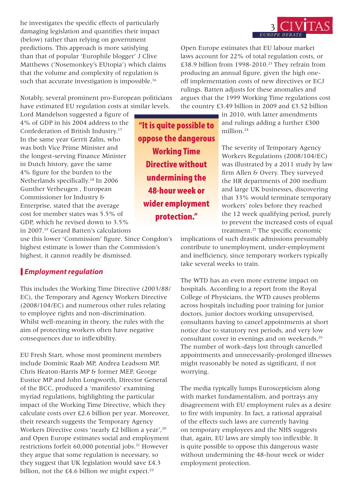he investigates the specific effects of particularly damaging legislation and quantifies their impact (below) rather than relying on government predictions. This approach is more satisfying than that of popular 'Europhile blogger' J Clive Matthews ('Nosemonkey's EUtopia') which claims that the volume and complexity of regulation is such that accurate investigation is impossible.<sup>16</sup>

Notably, several prominent pro-European politicians have estimated EU regulation costs at similar levels.

Lord Mandelson suggested a figure of 4% of GDP in his 2004 address to the Confederation of British Industry.17 In the same year Gerrit Zalm, who was both Vice Prime Minister and the longest-serving Finance Minister in Dutch history, gave the same 4% figure for the burden to the Netherlands specifically.18 In 2006 Gunther Verheugen , European Commissioner for Industry & Enterprise, stated that the average cost for member states was 5.5% of GDP, which he revised down to 3.5% in 2007.19 Gerard Batten's calculations

use this lower 'Commission' figure. Since Congdon's highest estimate is lower than the Commission's highest, it cannot readily be dismissed.

#### *Employment regulation*

This includes the Working Time Directive (2003/88/ EC), the Temporary and Agency Workers Directive (2008/104/EC) and numerous other rules relating to employee rights and non-discrimination. Whilst well-meaning in theory, the rules with the aim of protecting workers often have negative consequences due to inflexibility.

EU Fresh Start, whose most prominent members include Dominic Raab MP, Andrea Leadsom MP, Chris Heaton-Harris MP & former MEP, George Eustice MP and John Longworth, Director General of the BCC, produced a 'manifesto' examining myriad regulations, highlighting the particular impact of the Working Time Directive, which they calculate costs over £2.6 billion per year. Moreover, their research suggests the Temporary Agency Workers Directive costs 'nearly £2 billion a year',<sup>20</sup> and Open Europe estimates social and employment restrictions forfeit 60,000 potential jobs.<sup>21</sup> However they argue that some regulation is necessary, so they suggest that UK legislation would save £4.3 billion, not the  $£4.6$  billion we might expect.<sup>22</sup>

"It is quite possible to oppose the dangerous Working Time Directive without undermining the 48-hour week or wider employment protection."



Open Europe estimates that EU labour market laws account for 22% of total regulation costs, or £38.9 billion from 1998-2010.<sup>23</sup> They refrain from producing an annual figure, given the high oneoff implementation costs of new directives or ECJ rulings. Batten adjusts for these anomalies and argues that the 1999 Working Time regulations cost the country £3.49 billion in 2009 and £3.52 billion

> in 2010, with latter amendments and rulings adding a further £300 million.<sup>24</sup>

The severity of Temporary Agency Workers Regulations (2008/104/EC) was illustrated by a 2011 study by law firm Allen & Overy. They surveyed the HR departments of 200 medium and large UK businesses, discovering that 33% would terminate temporary workers' roles before they reached the 12 week qualifying period, purely to prevent the increased costs of equal treatment.25 The specific economic

implications of such drastic admissions presumably contribute to unemployment, under-employment and inefficiency, since temporary workers typically take several weeks to train.

The WTD has an even more extreme impact on hospitals. According to a report from the Royal College of Physicians, the WTD causes problems across hospitals including poor training for junior doctors, junior doctors working unsupervised, consultants having to cancel appointments at short notice due to statutory rest periods, and very low consultant cover in evenings and on weekends.26 The number of work-days lost through cancelled appointments and unnecessarily-prolonged illnesses might reasonably be noted as significant, if not worrying.

The media typically lumps Euroscepticism along with market fundamentalism, and portrays any disagreement with EU employment rules as a desire to fire with impunity. In fact, a rational appraisal of the effects such laws are currently having on temporary employees and the NHS suggests that, again, EU laws are simply too inflexible. It is quite possible to oppose this dangerous waste without undermining the 48-hour week or wider employment protection.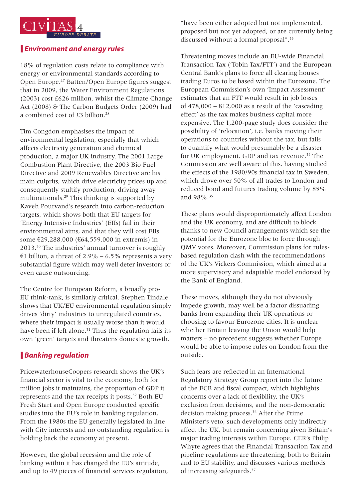

#### *Environment and energy rules*

18% of regulation costs relate to compliance with energy or environmental standards according to Open Europe.27 Batten/Open Europe figures suggest that in 2009, the Water Environment Regulations (2003) cost £626 million, whilst the Climate Change Act (2008) & The Carbon Budgets Order (2009) had a combined cost of £3 billion.<sup>28</sup>

Tim Congdon emphasises the impact of environmental legislation, especially that which affects electricity generation and chemical production, a major UK industry. The 2001 Large Combustion Plant Directive, the 2003 Bio Fuel Directive and 2009 Renewables Directive are his main culprits, which drive electricity prices up and consequently stultify production, driving away multinationals.29 This thinking is supported by Kaveh Pourvand's research into carbon-reduction targets, which shows both that EU targets for 'Energy Intensive Industries' (EIIs) fail in their environmental aims, and that they will cost EIIs some €29,288,000 (€64,559,000 in extremis) in 2013.30 The industries' annual turnover is roughly €1 billion, a threat of 2.9% – 6.5% represents a very substantial figure which may well deter investors or even cause outsourcing.

The Centre for European Reform, a broadly pro-EU think-tank, is similarly critical. Stephen Tindale shows that UK/EU environmental regulation simply drives 'dirty' industries to unregulated countries, where their impact is usually worse than it would have been if left alone.<sup>31</sup> Thus the regulation fails its own 'green' targets and threatens domestic growth.

## *Banking regulation*

PricewaterhouseCoopers research shows the UK's financial sector is vital to the economy, both for million jobs it maintains, the proportion of GDP it represents and the tax receipts it posts.32 Both EU Fresh Start and Open Europe conducted specific studies into the EU's role in banking regulation. From the 1980s the EU generally legislated in line with City interests and no outstanding regulation is holding back the economy at present.

However, the global recession and the role of banking within it has changed the EU's attitude, and up to 49 pieces of financial services regulation,

"have been either adopted but not implemented, proposed but not yet adopted, or are currently being discussed without a formal proposal".<sup>33</sup>

Threatening moves include an EU-wide Financial Transaction Tax ('Tobin Tax/FTT') and the European Central Bank's plans to force all clearing houses trading Euros to be based within the Eurozone. The European Commission's own 'Impact Assessment' estimates that an FTT would result in job losses of 478,000 – 812,000 as a result of the 'cascading effect' as the tax makes business capital more expensive. The 1,200-page study does consider the possibility of 'relocation', i.e. banks moving their operations to countries without the tax, but fails to quantify what would presumably be a disaster for UK employment, GDP and tax revenue.<sup>34</sup> The Commission are well aware of this, having studied the effects of the 1980/90s financial tax in Sweden, which drove over 50% of all trades to London and reduced bond and futures trading volume by 85% and 98%.35

These plans would disproportionately affect London and the UK economy, and are difficult to block thanks to new Council arrangements which see the potential for the Eurozone bloc to force through QMV votes. Moreover, Commission plans for rulesbased regulation clash with the recommendations of the UK's Vickers Commission, which aimed at a more supervisory and adaptable model endorsed by the Bank of England.

These moves, although they do not obviously impede growth, may well be a factor dissuading banks from expanding their UK operations or choosing to favour Eurozone cities. It is unclear whether Britain leaving the Union would help matters – no precedent suggests whether Europe would be able to impose rules on London from the outside.

Such fears are reflected in an International Regulatory Strategy Group report into the future of the ECB and fiscal compact, which highlights concerns over a lack of flexibility, the UK's exclusion from decisions, and the non-democratic decision making process.<sup>36</sup> After the Prime Minister's veto, such developments only indirectly affect the UK, but remain concerning given Britain's major trading interests within Europe. CER's Philip Whyte agrees that the Financial Transaction Tax and pipeline regulations are threatening, both to Britain and to EU stability, and discusses various methods of increasing safeguards.37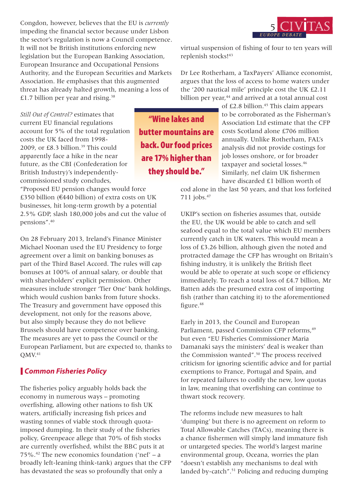Congdon, however, believes that the EU is *currently* impeding the financial sector because under Lisbon the sector's regulation is now a Council competence. It will not be British institutions enforcing new legislation but the European Banking Association, European Insurance and Occupational Pensions Authority, and the European Securities and Markets Association. He emphasises that this augmented threat has already halted growth, meaning a loss of £1.7 billion per year and rising.<sup>38</sup>



virtual suspension of fishing of four to ten years will replenish stocks!43

Dr Lee Rotherham, a TaxPayers' Alliance economist, argues that the loss of access to home waters under the '200 nautical mile' principle cost the UK £2.11 billion per year,<sup>44</sup> and arrived at a total annual cost

*Still Out of Control?* estimates that current EU financial regulations account for 5% of the total regulation costs the UK faced from 1998- 2009, or £8.3 billion.<sup>39</sup> This could apparently face a hike in the near future, as the CBI (Confederation for British Industry)'s independentlycommissioned study concludes,

"Proposed EU pension changes would force £350 billion ( $€440$  billion) of extra costs on UK businesses, hit long-term growth by a potential 2.5% GDP, slash 180,000 jobs and cut the value of pensions".40

On 28 February 2013, Ireland's Finance Minister Michael Noonan used the EU Presidency to forge agreement over a limit on banking bonuses as part of the Third Basel Accord. The rules will cap bonuses at 100% of annual salary, or double that with shareholders' explicit permission. Other measures include stronger 'Tier One' bank holdings, which would cushion banks from future shocks. The Treasury and government have opposed this development, not only for the reasons above, but also simply because they do not believe Brussels should have competence over banking. The measures are yet to pass the Council or the European Parliament, but are expected to, thanks to  $QMV<sub>41</sub>$ 

#### *Common Fisheries Policy*

The fisheries policy arguably holds back the economy in numerous ways – promoting overfishing, allowing other nations to fish UK waters, artificially increasing fish prices and wasting tonnes of viable stock through quotaimposed dumping. In their study of the fisheries policy, Greenpeace allege that 70% of fish stocks are currently overfished, whilst the BBC puts it at 75%.<sup>42</sup> The new economics foundation ('nef' – a broadly left-leaning think-tank) argues that the CFP has devastated the seas so profoundly that only a

"Wine lakes and butter mountains are back. Our food prices are 17% higher than they should be."

of  $£2.8$  billion.<sup>45</sup> This claim appears to be corroborated as the Fisherman's Association Ltd estimate that the CFP costs Scotland alone £706 million annually. Unlike Rotherham, FAL's analysis did not provide costings for job losses onshore, or for broader taxpayer and societal losses.<sup>46</sup> Similarly, nef claim UK fishermen have discarded £1 billion worth of

cod alone in the last 50 years, and that loss forfeited 711 jobs.47

UKIP's section on fisheries assumes that, outside the EU, the UK would be able to catch and sell seafood equal to the total value which EU members currently catch in UK waters. This would mean a loss of £3.26 billion, although given the noted and protracted damage the CFP has wrought on Britain's fishing industry, it is unlikely the British fleet would be able to operate at such scope or efficiency immediately. To reach a total loss of £4.7 billion, Mr Batten adds the presumed extra cost of importing fish (rather than catching it) to the aforementioned figure.<sup>48</sup>

Early in 2013, the Council and European Parliament, passed Commission CFP reforms.<sup>49</sup> but even "EU Fisheries Commissioner Maria Damanaki says the ministers' deal is weaker than the Commission wanted".50 The process received criticism for ignoring scientific advice and for partial exemptions to France, Portugal and Spain, and for repeated failures to codify the new, low quotas in law, meaning that overfishing can continue to thwart stock recovery.

The reforms include new measures to halt 'dumping' but there is no agreement on reform to Total Allowable Catches (TACs), meaning there is a chance fishermen will simply land immature fish or untargeted species. The world's largest marine environmental group, Oceana, worries the plan "doesn't establish any mechanisms to deal with landed by-catch".<sup>51</sup> Policing and reducing dumping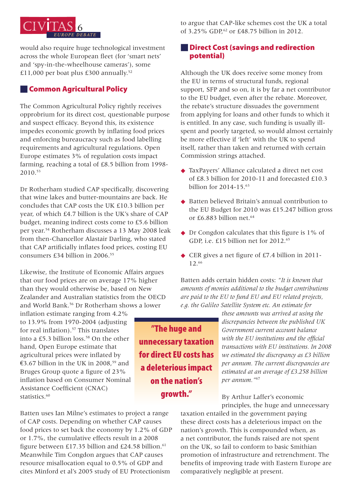

would also require huge technological investment across the whole European fleet (for 'smart nets' and 'spy-in-the-wheelhouse cameras'), some £11,000 per boat plus £300 annually.52

#### **Common Agricultural Policy**

The Common Agricultural Policy rightly receives opprobrium for its direct cost, questionable purpose and suspect efficacy. Beyond this, its existence impedes economic growth by inflating food prices and enforcing bureaucracy such as food labelling requirements and agricultural regulations. Open Europe estimates 3% of regulation costs impact farming, reaching a total of £8.5 billion from 1998- 2010.53

Dr Rotherham studied CAP specifically, discovering that wine lakes and butter-mountains are back. He concludes that CAP costs the UK £10.3 billion per year, of which £4.7 billion is the UK's share of CAP budget, meaning indirect costs come to £5.6 billion per year.54 Rotherham discusses a 13 May 2008 leak from then-Chancellor Alastair Darling, who stated that CAP artificially inflates food prices, costing EU consumers £34 billion in 2006.<sup>55</sup>

Likewise, the Institute of Economic Affairs argues that our food prices are on average 17% higher than they would otherwise be, based on New Zealander and Australian statistics from the OECD and World Bank.<sup>56</sup> Dr Rotherham shows a lower

inflation estimate ranging from 4.2% to 13.9% from 1970-2004 (adjusting for real inflation).<sup>57</sup> This translates into a £5.3 billion loss.<sup>58</sup> On the other hand, Open Europe estimate that agricultural prices were inflated by €3.67 billion in the UK in 2008,<sup>59</sup> and Bruges Group quote a figure of 23% inflation based on Consumer Nominal Assistance Coefficient (CNAC) statistics.<sup>60</sup>

Batten uses Ian Milne's estimates to project a range of CAP costs. Depending on whether CAP causes food prices to set back the economy by 1.2% of GDP or 1.7%, the cumulative effects result in a 2008 figure between £17.35 billion and £24.58 billion.<sup>61</sup> Meanwhile Tim Congdon argues that CAP causes resource misallocation equal to 0.5% of GDP and cites Minford et al's 2005 study of EU Protectionism

to argue that CAP-like schemes cost the UK a total of 3.25% GDP.<sup>62</sup> or £48.75 billion in 2012.

#### **Direct Cost (savings and redirection** potential)

Although the UK does receive some money from the EU in terms of structural funds, regional support, SFP and so on, it is by far a net contributor to the EU budget, even after the rebate. Moreover, the rebate's structure dissuades the government from applying for loans and other funds to which it is entitled. In any case, such funding is usually illspent and poorly targeted, so would almost certainly be more effective if 'left' with the UK to spend itself, rather than taken and returned with certain Commission strings attached.

- TaxPayers' Alliance calculated a direct net cost of £8.3 billion for 2010-11 and forecasted £10.3 billion for 2014-15.63
- ◆ Batten believed Britain's annual contribution to the EU Budget for 2010 was £15.247 billion gross or £6.883 billion net.<sup>64</sup>
- ◆ Dr Congdon calculates that this figure is 1% of GDP, i.e. £15 billion net for 2012.<sup>65</sup>
- ◆ CER gives a net figure of £7.4 billion in 2011-12.66

Batten adds certain hidden costs: *"It is known that amounts of monies additional to the budget contributions are paid to the EU to fund EU and EU related projects, e.g. the Galileo Satellite System etc. An estimate for* 

> *these amounts was arrived at using the discrepancies between the published UK Government current account balance with the EU institutions and the official transactions with EU institutions. In 2008 we estimated the discrepancy as £3 billion per annum. The current discrepancies are estimated at an average of £3.258 billion per annum."*<sup>67</sup>

By Arthur Laffer's economic principles, the huge and unnecessary

taxation entailed in the government paying these direct costs has a deleterious impact on the nation's growth. This is compounded when, as a net contributor, the funds raised are not spent on the UK, so fail to conform to basic Smithian promotion of infrastructure and retrenchment. The benefits of improving trade with Eastern Europe are comparatively negligible at present.

"The huge and unnecessary taxation for direct EU costs has a deleterious impact on the nation's growth."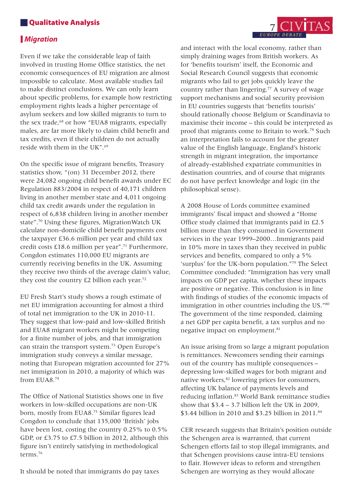#### **N**Qualitative Analysis

#### *Migration*

Even if we take the considerable leap of faith involved in trusting Home Office statistics, the net economic consequences of EU migration are almost impossible to calculate. Most available studies fail to make distinct conclusions. We can only learn about specific problems, for example how restricting employment rights leads a higher percentage of asylum seekers and low skilled migrants to turn to the sex trade,<sup>68</sup> or how "EUA8 migrants, especially males, are far more likely to claim child benefit and tax credits, even if their children do not actually reside with them in the UK".69

On the specific issue of migrant benefits, Treasury statistics show, "(on) 31 December 2012, there were 24,082 ongoing child benefit awards under EC Regulation 883/2004 in respect of 40,171 children living in another member state and 4,011 ongoing child tax credit awards under the regulation in respect of 6,838 children living in another member state".70 Using these figures, MigrationWatch UK calculate non-domicile child benefit payments cost the taxpayer £36.6 million per year and child tax credit costs £18.6 million per year".71 Furthermore, Congdon estimates 110,000 EU migrants are currently receiving benefits in the UK. Assuming they receive two thirds of the average claim's value, they cost the country  $E2$  billion each year.<sup>72</sup>

EU Fresh Start's study shows a rough estimate of net EU immigration accounting for almost a third of total net immigration to the UK in 2010-11. They suggest that low-paid and low-skilled British and EUA8 migrant workers might be competing for a finite number of jobs, and that immigration can strain the transport system.73 Open Europe's immigration study conveys a similar message, noting that European migration accounted for 27% net immigration in 2010, a majority of which was from EUA8.74

The Office of National Statistics shows one in five workers in low-skilled occupations are non-UK born, mostly from EUA8.75 Similar figures lead Congdon to conclude that 135,000 'British' jobs have been lost, costing the country 0.25% to 0.5% GDP, or £3.75 to £7.5 billion in 2012, although this figure isn't entirely satisfying in methodological terms.76

It should be noted that immigrants do pay taxes

and interact with the local economy, rather than simply draining wages from British workers. As for 'benefits tourism' itself, the Economic and Social Research Council suggests that economic migrants who fail to get jobs quickly leave the country rather than lingering.<sup>77</sup> A survey of wage support mechanisms and social security provision in EU countries suggests that 'benefits tourists' should rationally choose Belgium or Scandinavia to maximise their income – this could be interpreted as proof that migrants come to Britain to work.78 Such an interpretation fails to account for the greater value of the English language, England's historic strength in migrant integration, the importance of already-established expatriate communities in destination countries, and of course that migrants do not have perfect knowledge and logic (in the philosophical sense).

A 2008 House of Lords committee examined immigrants' fiscal impact and showed a "Home Office study claimed that immigrants paid in £2.5 billion more than they consumed in Government services in the year 1999–2000…Immigrants paid in 10% more in taxes than they received in public services and benefits, compared to only a 5% 'surplus' for the UK-born population."79 The Select Committee concluded: "Immigration has very small impacts on GDP per capita, whether these impacts are positive or negative. This conclusion is in line with findings of studies of the economic impacts of immigration in other countries including the US."<sup>80</sup> The government of the time responded, claiming a net GDP per capita benefit, a tax surplus and no negative impact on employment.<sup>81</sup>

An issue arising from so large a migrant population is remittances. Newcomers sending their earnings out of the country has multiple consequences – depressing low-skilled wages for both migrant and native workers,<sup>82</sup> lowering prices for consumers, affecting UK balance of payments levels and reducing inflation.83 World Bank remittance studies show that  $$3.4 - 3.7$  billion left the UK in 2009, \$3.44 billion in 2010 and \$3.25 billion in 2011.<sup>84</sup>

CER research suggests that Britain's position outside the Schengen area is warranted, that current Schengen efforts fail to stop illegal immigrants, and that Schengen provisions cause intra-EU tensions to flair. However ideas to reform and strengthen Schengen are worrying as they would allocate

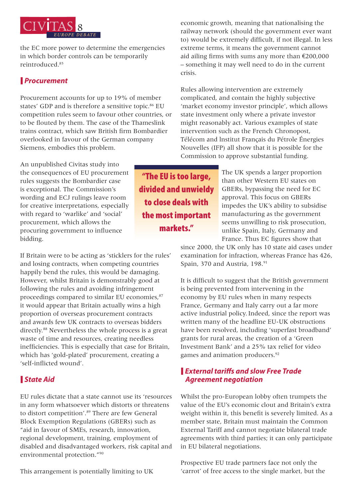

the EC more power to determine the emergencies in which border controls can be temporarily reintroduced.85

#### *Procurement*

Procurement accounts for up to 19% of member states' GDP and is therefore a sensitive topic.<sup>86</sup> EU competition rules seem to favour other countries, or to be flouted by them. The case of the Thameslink trains contract, which saw British firm Bombardier overlooked in favour of the German company Siemens, embodies this problem.

economic growth, meaning that nationalising the railway network (should the government ever want to) would be extremely difficult, if not illegal. In less extreme terms, it means the government cannot aid ailing firms with sums any more than €200,000 – something it may well need to do in the current crisis.

Rules allowing intervention are extremely complicated, and contain the highly subjective 'market economy investor principle', which allows state investment only where a private investor might reasonably act. Various examples of state intervention such as the French Chronopost, Télécom and lnstitut Français du Pétrole Énergies Nouvelles (IFP) all show that it is possible for the Commission to approve substantial funding.

An unpublished Civitas study into the consequences of EU procurement rules suggests the Bombardier case is exceptional. The Commission's wording and ECJ rulings leave room for creative interpretations, especially with regard to 'warlike' and 'social' procurement, which allows the procuring government to influence bidding.

If Britain were to be acting as 'sticklers for the rules' and losing contracts, when competing countries happily bend the rules, this would be damaging. However, whilst Britain is demonstrably good at following the rules and avoiding infringement proceedings compared to similar EU economies,<sup>87</sup> it would appear that Britain actually wins a high proportion of overseas procurement contracts and awards few UK contracts to overseas bidders directly.<sup>88</sup> Nevertheless the whole process is a great waste of time and resources, creating needless inefficiencies. This is especially that case for Britain, which has 'gold-plated' procurement, creating a 'self-inflicted wound'.

## *State Aid*

EU rules dictate that a state cannot use its 'resources in any form whatsoever which distorts or threatens to distort competition'.<sup>89</sup> There are few General Block Exemption Regulations (GBERs) such as "aid in favour of SMEs, research, innovation, regional development, training, employment of disabled and disadvantaged workers, risk capital and environmental protection."90

This arrangement is potentially limiting to UK

"The EU is too large, divided and unwieldy to close deals with the most important markets."

The UK spends a larger proportion than other Western EU states on GBERs, bypassing the need for EC approval. This focus on GBERs impedes the UK's ability to subsidise manufacturing as the government seems unwilling to risk prosecution, unlike Spain, Italy, Germany and France. Thus EC figures show that

since 2000, the UK only has 10 state aid cases under examination for infraction, whereas France has 426, Spain, 370 and Austria, 198.91

It is difficult to suggest that the British government is being prevented from intervening in the economy by EU rules when in many respects France, Germany and Italy carry out a far more active industrial policy.Indeed, since the report was written many of the headline EU-UK obstructions have been resolved, including 'superfast broadband' grants for rural areas, the creation of a 'Green Investment Bank' and a 25% tax relief for video games and animation producers.<sup>92</sup>

#### *External tariffs and slow Free Trade Agreement negotiation*

Whilst the pro-European lobby often trumpets the value of the EU's economic clout and Britain's extra weight within it, this benefit is severely limited. As a member state, Britain must maintain the Common External Tariff and cannot negotiate bilateral trade agreements with third parties; it can only participate in EU bilateral negotiations.

Prospective EU trade partners face not only the 'carrot' of free access to the single market, but the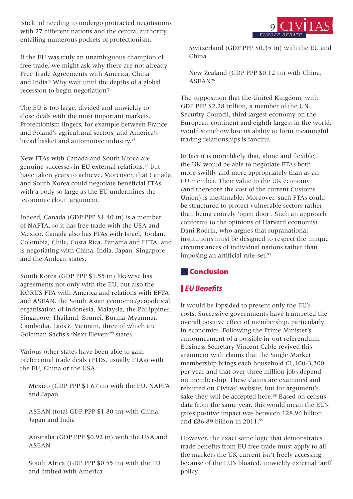'stick' of needing to undergo protracted negotiations with 27 different nations and the central authority, entailing numerous pockets of protectionism.

If the EU was truly an unambiguous champion of free trade, we might ask why there are not already Free Trade Agreements with America, China and India? Why wait until the depths of a global recession to begin negotiation?

The EU is too large, divided and unwieldy to close deals with the most important markets. Protectionism lingers, for example between France and Poland's agricultural sectors, and America's bread basket and automotive industry.<sup>93</sup>

New FTAs with Canada and South Korea are genuine successes in EU external relations.<sup>94</sup> but have taken years to achieve. Moreover, that Canada and South Korea could negotiate beneficial FTAs with a body so large as the EU undermines the 'economic clout' argument.

Indeed, Canada (GDP PPP \$1.40 tn) is a member of NAFTA, so it has free trade with the USA and Mexico. Canada also has FTAs with Israel, Jordan, Colombia, Chile, Costa Rica, Panama and EFTA, and is negotiating with China, India, Japan, Singapore and the Andean states.

South Korea (GDP PPP \$1.55 tn) likewise has agreements not only with the EU, but also the KORUS FTA with America and relations with EFTA and ASEAN, the South Asian economic/geopolitical organisation of Indonesia, Malaysia, the Philippines, Singapore, Thailand, Brunei, Burma-Myanmar, Cambodia, Laos & Vietnam, three of which are Goldman Sachs's 'Next Eleven'95 states.

Various other states have been able to gain preferential trade deals (PTDs, usually FTAs) with the EU, China or the USA:

Mexico (GDP PPP \$1.67 tn) with the EU, NAFTA and Japan

ASEAN (total GDP PPP \$1.80 tn) with China, Japan and India

Australia (GDP PPP \$0.92 tn) with the USA and ASEAN

South Africa (GDP PPP \$0.55 tn) with the EU and limited with America



Switzerland (GDP PPP \$0.35 tn) with the EU and China

New Zealand (GDP PPP \$0.12 tn) with China, ASEAN96

The supposition that the United Kingdom, with GDP PPP \$2.28 trillion, a member of the UN Security Council, third largest economy on the European continent and eighth largest in the world, would somehow lose its ability to form meaningful trading relationships is fanciful.

In fact it is more likely that, alone and flexible, the UK would be able to negotiate FTAs both more swiftly and more appropriately than as an EU member. Their value to the UK economy (and therefore the cost of the current Customs Union) is inestimable. Moreover, such FTAs could be structured to protect vulnerable sectors rather than being entirely 'open door'. Such an approach conforms to the opinions of Harvard economist Dani Rodrik, who argues that supranational institutions must be designed to respect the unique circumstances of individual nations rather than imposing an artificial rule-set.<sup>97</sup>

## **Conclusion**

# *EU Benefits*

It would be lopsided to present only the EU's costs. Successive governments have trumpeted the overall positive effect of membership, particularly in economics. Following the Prime Minister's announcement of a possible in-out referendum, Business Secretary Vincent Cable revived this argument with claims that the Single Market membership brings each household £1,100-3,300 per year and that over three million jobs depend on membership. These claims are examined and rebutted on Civitas' website, but for argument's sake they will be accepted here.<sup>98</sup> Based on census data from the same year, this would mean the EU's gross positive impact was between £28.96 billion and  $f86.89$  billion in 2011<sup>99</sup>

However, the exact same logic that demonstrates trade benefits from EU free trade must apply to all the markets the UK current isn't freely accessing because of the EU's bloated, unwieldy external tariff policy.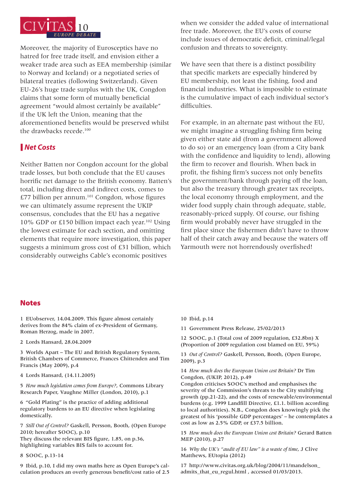

Moreover, the majority of Eurosceptics have no hatred for free trade itself, and envision either a weaker trade area such as EEA membership (similar to Norway and Iceland) or a negotiated series of bilateral treaties (following Switzerland). Given EU-26's huge trade surplus with the UK, Congdon claims that some form of mutually beneficial agreement "would almost certainly be available" if the UK left the Union, meaning that the aforementioned benefits would be preserved whilst the drawbacks recede.<sup>100</sup>

#### *Net Costs*

Neither Batten nor Congdon account for the global trade losses, but both conclude that the EU causes horrific net damage to the British economy. Batten's total, including direct and indirect costs, comes to £77 billion per annum.101 Congdon, whose figures we can ultimately assume represent the UKIP consensus, concludes that the EU has a negative 10% GDP or £150 billion impact each year.102 Using the lowest estimate for each section, and omitting elements that require more investigation, this paper suggests a minimum gross cost of £31 billion, which considerably outweighs Cable's economic positives

when we consider the added value of international free trade. Moreover, the EU's costs of course include issues of democratic deficit, criminal/legal confusion and threats to sovereignty.

We have seen that there is a distinct possibility that specific markets are especially hindered by EU membership, not least the fishing, food and financial industries. What is impossible to estimate is the cumulative impact of each individual sector's difficulties.

For example, in an alternate past without the EU, we might imagine a struggling fishing firm being given either state aid (from a government allowed to do so) or an emergency loan (from a City bank with the confidence and liquidity to lend), allowing the firm to recover and flourish. When back in profit, the fishing firm's success not only benefits the government/bank through paying off the loan, but also the treasury through greater tax receipts, the local economy through employment, and the wider food supply chain through adequate, stable, reasonably-priced supply. Of course, our fishing firm would probably never have struggled in the first place since the fishermen didn't have to throw half of their catch away and because the waters off Yarmouth were not horrendously overfished!

#### **Notes**

1 EUobserver, 14.04.2009. This figure almost certainly derives from the 84% claim of ex-President of Germany, Roman Herzog, made in 2007.

2 Lords Hansard, 28.04.2009

3 Worlds Apart – The EU and British Regulatory System, British Chambers of Commerce, Frances Chittenden and Tim Francis (May 2009), p.4

4 Lords Hansard, (14.11.2005)

5 *How much legislation comes from Europe?*, Commons Library Research Paper, Vaughne Miller (London, 2010), p.1

6 "Gold Plating" is the practice of adding additional regulatory burdens to an EU directive when legislating domestically.

7 *Still Out of Control?* Gaskell, Persson, Booth, (Open Europe 2010; hereafter SOOC), p.10 They discuss the relevant BIS figure, 1.85, on p.36, highlighting variables BIS fails to account for.

8 SOOC, p.13-14

9 Ibid, p.10, I did my own maths here as Open Europe's calculation produces an overly generous benefit/cost ratio of 2.5 10 Ibid, p.14

11 Government Press Release, 25/02/2013

12 SOOC, p.1 (Total cost of 2009 regulation, £32.8bn) X (Proportion of 2009 regulation cost blamed on EU, 59%)

13 *Out of Control?* Gaskell, Persson, Booth, (Open Europe, 2009), p.3

14 *How much does the European Union cost Britain?* Dr Tim Congdon, (UKIP, 2012), p.49

Congdon criticises SOOC's method and emphasises the severity of the Commission's threats to the City stultifying growth (pp.21-22), and the costs of renewable/environmental burdens (e.g. 1999 Landfill Directive, £1.1. billion according to local authorities). N.B., Congdon does knowingly pick the greatest of his 'possible GDP percentages' – he contemplates a cost as low as 2.5% GDP, or £37.5 billion.

15 *How much does the European Union cost Britain?* Gerard Batten MEP (2010), p.27

16 *Why the UK's "audit of EU law" is a waste of time*, J Clive Matthews, EUtopia (2012)

17 http://www.civitas.org.uk/blog/2004/11/mandelson\_ admits\_that\_eu\_regul.html , accessed 01/03/2013.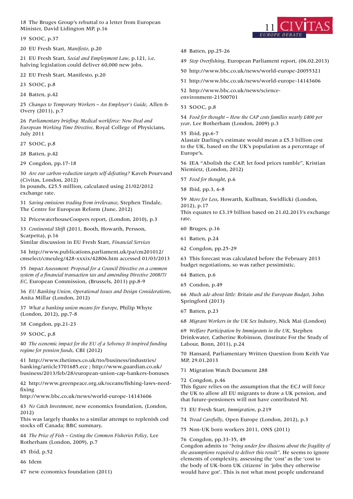18 The Bruges Group's rebuttal to a letter from European Minister, David Lidington MP, p.16

19 SOOC, p.37

20 EU Fresh Start, *Manifesto*, p.20

21 EU Fresh Start, *Social and Employment Law*, p.121, i.e. halving legislation could deliver 60,000 new jobs.

22 EU Fresh Start, Manifesto, p.20

23 SOOC, p.8

24 Batten, p.42

25 *Changes to Temporary Workers – An Employer's Guide*, Allen & Overy (2011), p.7

26 *Parliamentary briefing: Medical workforce: New Deal and European Working Time Directive*, Royal College of Physicians, July 2011

27 SOOC, p.8

28 Batten, p.42

29 Congdon, pp.17-18

30 *Are our carbon-reduction targets self-defeating?* Kaveh Pourvand (Civitas, London, 2012)

In pounds, £25.5 million, calculated using 21/02/2012 exchange rate.

31 *Saving emissions trading from irrelevance*, Stephen Tindale, The Centre for European Reform (June, 2012)

32 PricewaterhouseCoopers report, (London, 2010), p.3

33 *Continental Shift* (2011, Booth, Howarth, Persson, Scarpetta), p.16

Similar discussion in EU Fresh Start, *Financial Services*

34 http://www.publications.parliament.uk/pa/cm201012/ cmselect/cmeuleg/428-xxxix/42806.htm accessed 01/03/2013

35 *Impact Assessment: Proposal for a Council Directive on a common system of a financial transaction tax and amending Directive 2008/7/ EC*, European Commission, (Brussels, 2011) pp.8-9

36 *EU Banking Union, Operational Issues and Design Considerations*, Anita Millar (London, 2012)

37 *What a banking union means for Europe*, Philip Whyte (London, 2012), pp.7-8

38 Congdon, pp.21-23

39 SOOC, p.8

40 *The economic impact for the EU of a Solvency II-inspired funding regime for pension funds*, CBI (2012)

41 http://www.thetimes.co.uk/tto/business/industries/ banking/article3701685.ece ; http://www.guardian.co.uk/ business/2013/feb/28/european-union-cap-bankers-bonuses

42 http://www.greenpeace.org.uk/oceans/fishing-laws-needfixing

http://www.bbc.co.uk/news/world-europe-14143606

43 *No Catch Investment*, new economics foundation, (London, 2012)

This was largely thanks to a similar attempt to replenish cod stocks off Canada; BBC summary.

44 *The Price of Fish – Costing the Common Fisheries Policy*, Lee Rotherham (London, 2009), p.7

45 Ibid, p.52

46 Idem

47 new economics foundation (2011)



- 48 Batten, pp.25-26
- 49 *Stop Overfishing*, European Parliament report, (06.02.2013)

50 http://www.bbc.co.uk/news/world-europe-20055321

51 http://www.bbc.co.uk/news/world-europe-14143606

52 http://www.bbc.co.uk/news/scienceenvironment-21500701

53 SOOC, p.8

54 *Food for thought – How the CAP costs families nearly £400 per year*, Lee Rotherham (London, 2009) p.3

55 Ibid, pp.6-7

Alastair Darling's estimate would mean a £5.3 billion cost to the UK, based on the UK's population as a percentage of Europe's.

56 IEA "Abolish the CAP, let food prices tumble", Kristian Niemietz, (London, 2012)

57 *Food for thought*, p.6

58 Ibid, pp.3, 6-8

59 *More for Less*, Howarth, Kullman, Swidlicki (London, 2012), p.17

This equates to £3.19 billion based on 21.02.2013's exchange rate.

60 Bruges, p.16

- 61 Batten, p.24
- 62 Congdon, pp.25-29

63 This forecast was calculated before the February 2013 budget negotiations, so was rather pessimistic.

- 64 Batten, p.6
- 65 Condon, p.49

66 *Much ado about little: Britain and the European Budget*, John Springford (2013)

67 Batten, p.23

68 *Migrant Workers in the UK Sex Industry*, Nick Mai (London)

69 *Welfare Participation by Immigrants in the UK*, Stephen Drinkwater, Catherine Robinson, (Institute For the Study of Labour, Bonn, 2011), p.24

70 Hansard, Parliamentary Written Question from Keith Vaz MP, 29.01.2013

71 Migration Watch Document 288

72 Congdon, p.46

This figure relies on the assumption that the ECJ will force the UK to allow all EU migrants to draw a UK pension, and that future-pensioners will not have contributed NI.

73 EU Fresh Start, *Immigration*, p.219

74 *Tread Carefully*, Open Europe (London, 2012), p.3

75 Non-UK born workers 2011, ONS (2011)

#### 76 Congdon, pp.33-35, 49

Congdon admits to *"being under few illusions about the fragility of the assumptions required to deliver this result"*. He seems to ignore elements of complexity, assessing the 'cost' as the 'cost to the body of UK-born UK citizens' in 'jobs they otherwise would have got'. This is not what most people understand